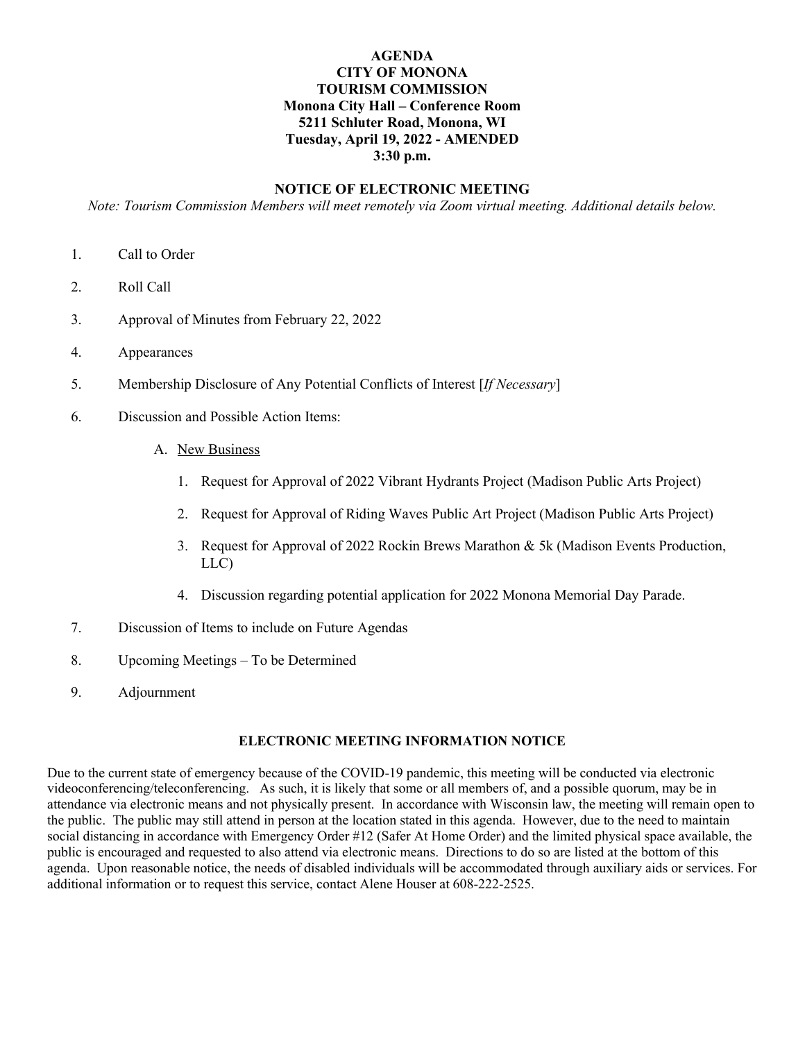# **AGENDA CITY OF MONONA TOURISM COMMISSION Monona City Hall – Conference Room 5211 Schluter Road, Monona, WI Tuesday, April 19, 2022 - AMENDED 3:30 p.m.**

#### **NOTICE OF ELECTRONIC MEETING**

*Note: Tourism Commission Members will meet remotely via Zoom virtual meeting. Additional details below.*

- 1. Call to Order
- 2. Roll Call
- 3. Approval of Minutes from February 22, 2022
- 4. Appearances
- 5. Membership Disclosure of Any Potential Conflicts of Interest [*If Necessary*]
- 6. Discussion and Possible Action Items:
	- A. New Business
		- 1. Request for Approval of 2022 Vibrant Hydrants Project (Madison Public Arts Project)
		- 2. Request for Approval of Riding Waves Public Art Project (Madison Public Arts Project)
		- 3. Request for Approval of 2022 Rockin Brews Marathon & 5k (Madison Events Production, LLC)
		- 4. Discussion regarding potential application for 2022 Monona Memorial Day Parade.
- 7. Discussion of Items to include on Future Agendas
- 8. Upcoming Meetings To be Determined
- 9. Adjournment

# **ELECTRONIC MEETING INFORMATION NOTICE**

Due to the current state of emergency because of the COVID-19 pandemic, this meeting will be conducted via electronic videoconferencing/teleconferencing. As such, it is likely that some or all members of, and a possible quorum, may be in attendance via electronic means and not physically present. In accordance with Wisconsin law, the meeting will remain open to the public. The public may still attend in person at the location stated in this agenda. However, due to the need to maintain social distancing in accordance with Emergency Order #12 (Safer At Home Order) and the limited physical space available, the public is encouraged and requested to also attend via electronic means. Directions to do so are listed at the bottom of this agenda. Upon reasonable notice, the needs of disabled individuals will be accommodated through auxiliary aids or services. For additional information or to request this service, contact Alene Houser at 608-222-2525.